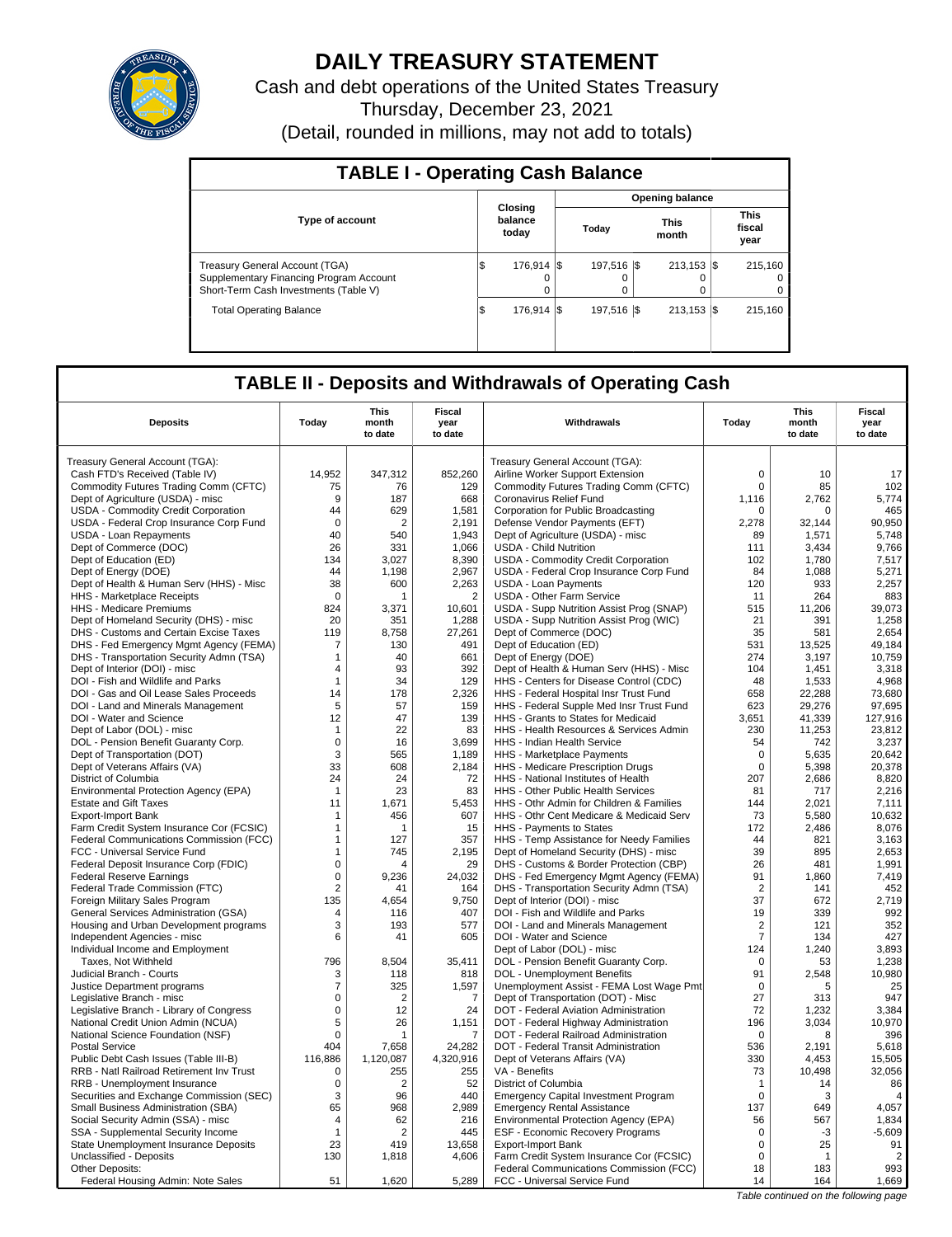

## **DAILY TREASURY STATEMENT**

Cash and debt operations of the United States Treasury Thursday, December 23, 2021 (Detail, rounded in millions, may not add to totals)

| <b>TABLE I - Operating Cash Balance</b>                                                                            |     |                             |  |                |                      |                         |  |                                 |  |  |
|--------------------------------------------------------------------------------------------------------------------|-----|-----------------------------|--|----------------|----------------------|-------------------------|--|---------------------------------|--|--|
|                                                                                                                    |     |                             |  |                |                      | Opening balance         |  |                                 |  |  |
| <b>Type of account</b>                                                                                             |     | Closing<br>balance<br>today |  | Today          | <b>This</b><br>month |                         |  | <b>This</b><br>fiscal<br>year   |  |  |
| Treasury General Account (TGA)<br>Supplementary Financing Program Account<br>Short-Term Cash Investments (Table V) | I\$ | 176.914 \\$<br>$\Omega$     |  | 197.516 S<br>0 |                      | $213.153$ S<br>0        |  | 215.160<br>$\Omega$<br>$\Omega$ |  |  |
| <b>Total Operating Balance</b>                                                                                     | l\$ | 176.914 S                   |  | 197.516 S      |                      | $213.153$ $\textsf{\$}$ |  | 215.160                         |  |  |

### **TABLE II - Deposits and Withdrawals of Operating Cash**

| <b>Deposits</b>                                          | Today               | This<br>month<br>to date | <b>Fiscal</b><br>year<br>to date | Withdrawals                                                                     | Today             | <b>This</b><br>month<br>to date | <b>Fiscal</b><br>year<br>to date |
|----------------------------------------------------------|---------------------|--------------------------|----------------------------------|---------------------------------------------------------------------------------|-------------------|---------------------------------|----------------------------------|
| Treasury General Account (TGA):                          |                     |                          |                                  | Treasury General Account (TGA):                                                 |                   |                                 |                                  |
| Cash FTD's Received (Table IV)                           | 14,952              | 347,312                  | 852,260                          | Airline Worker Support Extension                                                | $\Omega$          | 10                              | 17                               |
| Commodity Futures Trading Comm (CFTC)                    | 75                  | 76                       | 129                              | Commodity Futures Trading Comm (CFTC)                                           | $\mathbf 0$       | 85                              | 102                              |
| Dept of Agriculture (USDA) - misc                        | 9                   | 187                      | 668                              | Coronavirus Relief Fund                                                         | 1,116             | 2,762                           | 5,774                            |
| USDA - Commodity Credit Corporation                      | 44                  | 629                      | 1.581                            | Corporation for Public Broadcasting                                             | 0                 | $\Omega$                        | 465                              |
| USDA - Federal Crop Insurance Corp Fund                  | $\mathbf 0$         | $\overline{2}$           | 2,191                            | Defense Vendor Payments (EFT)                                                   | 2,278             | 32,144                          | 90,950                           |
| USDA - Loan Repayments                                   | 40                  | 540                      | 1,943                            | Dept of Agriculture (USDA) - misc                                               | 89                | 1.571                           | 5.748                            |
| Dept of Commerce (DOC)                                   | 26                  | 331                      | 1,066                            | <b>USDA - Child Nutrition</b>                                                   | 111               | 3,434                           | 9,766                            |
| Dept of Education (ED)                                   | 134                 | 3,027                    | 8,390                            | USDA - Commodity Credit Corporation                                             | 102               | 1,780                           | 7,517                            |
| Dept of Energy (DOE)                                     | 44                  | 1,198                    | 2,967                            | USDA - Federal Crop Insurance Corp Fund                                         | 84                | 1,088                           | 5,271                            |
| Dept of Health & Human Serv (HHS) - Misc                 | 38                  | 600                      | 2,263                            | <b>USDA - Loan Payments</b>                                                     | 120               | 933                             | 2,257                            |
| HHS - Marketplace Receipts                               | $\mathbf 0$         | 1                        | $\overline{2}$                   | <b>USDA - Other Farm Service</b>                                                | 11                | 264                             | 883                              |
| HHS - Medicare Premiums                                  | 824                 | 3,371                    | 10,601                           | USDA - Supp Nutrition Assist Prog (SNAP)                                        | 515               | 11,206                          | 39,073                           |
| Dept of Homeland Security (DHS) - misc                   | 20                  | 351                      | 1.288                            | USDA - Supp Nutrition Assist Prog (WIC)                                         | 21                | 391                             | 1.258                            |
| DHS - Customs and Certain Excise Taxes                   | 119                 | 8,758                    | 27,261                           | Dept of Commerce (DOC)                                                          | 35                | 581                             | 2,654                            |
| DHS - Fed Emergency Mgmt Agency (FEMA)                   | 7                   | 130                      | 491                              | Dept of Education (ED)                                                          | 531               | 13,525                          | 49.184                           |
| DHS - Transportation Security Admn (TSA)                 | $\mathbf{1}$        | 40                       | 661                              | Dept of Energy (DOE)                                                            | 274               | 3,197                           | 10,759                           |
| Dept of Interior (DOI) - misc                            | $\overline{4}$      | 93                       | 392                              | Dept of Health & Human Serv (HHS) - Misc                                        | 104               | 1,451                           | 3,318                            |
| DOI - Fish and Wildlife and Parks                        | $\overline{1}$      | 34                       | 129                              | HHS - Centers for Disease Control (CDC)                                         | 48                | 1.533                           | 4.968                            |
| DOI - Gas and Oil Lease Sales Proceeds                   | 14                  | 178                      | 2,326                            | HHS - Federal Hospital Insr Trust Fund                                          | 658               | 22,288                          | 73,680                           |
| DOI - Land and Minerals Management                       | 5                   | 57                       | 159                              | HHS - Federal Supple Med Insr Trust Fund                                        | 623               | 29.276                          | 97.695                           |
| DOI - Water and Science                                  | 12                  | 47                       | 139                              | HHS - Grants to States for Medicaid                                             | 3,651             | 41,339                          | 127,916                          |
| Dept of Labor (DOL) - misc                               | $\mathbf{1}$        | 22                       | 83                               | HHS - Health Resources & Services Admin                                         | 230               | 11,253                          | 23.812                           |
| DOL - Pension Benefit Guaranty Corp.                     | $\mathbf 0$         | 16                       | 3,699                            | <b>HHS - Indian Health Service</b>                                              | 54                | 742                             | 3,237                            |
| Dept of Transportation (DOT)                             | 3                   | 565                      | 1,189                            | HHS - Marketplace Payments                                                      | $\mathbf 0$       | 5,635                           | 20,642                           |
| Dept of Veterans Affairs (VA)                            | 33                  | 608                      | 2,184                            | HHS - Medicare Prescription Drugs                                               | $\mathbf 0$       | 5,398                           | 20,378                           |
| District of Columbia                                     | 24                  | 24                       | 72                               | HHS - National Institutes of Health                                             | 207               | 2,686                           | 8,820                            |
| Environmental Protection Agency (EPA)                    | $\overline{1}$      | 23                       | 83                               | <b>HHS - Other Public Health Services</b>                                       | 81                | 717                             | 2.216                            |
| <b>Estate and Gift Taxes</b>                             | 11                  | 1,671                    | 5,453                            | HHS - Othr Admin for Children & Families                                        | 144               | 2,021                           | 7,111                            |
| <b>Export-Import Bank</b>                                | -1                  | 456                      | 607                              | HHS - Othr Cent Medicare & Medicaid Serv                                        | 73                | 5.580                           | 10.632                           |
| Farm Credit System Insurance Cor (FCSIC)                 | $\mathbf{1}$        | 1                        | 15                               | HHS - Payments to States                                                        | 172               | 2,486                           | 8,076                            |
| Federal Communications Commission (FCC)                  | $\mathbf{1}$        | 127                      | 357                              | HHS - Temp Assistance for Needy Families                                        | 44                | 821                             | 3,163                            |
| FCC - Universal Service Fund                             | 1                   | 745                      | 2,195                            | Dept of Homeland Security (DHS) - misc                                          | 39                | 895                             | 2,653                            |
| Federal Deposit Insurance Corp (FDIC)                    | $\mathbf 0$         | $\boldsymbol{\Lambda}$   | 29                               | DHS - Customs & Border Protection (CBP)                                         | 26                | 481                             | 1,991                            |
| <b>Federal Reserve Earnings</b>                          | $\mathbf 0$         | 9.236                    | 24,032                           | DHS - Fed Emergency Mgmt Agency (FEMA)                                          | 91                | 1,860                           | 7,419                            |
| Federal Trade Commission (FTC)                           | $\overline{2}$      | 41                       | 164                              | DHS - Transportation Security Admn (TSA)                                        | $\overline{2}$    | 141                             | 452                              |
| Foreign Military Sales Program                           | 135                 | 4.654                    | 9.750                            | Dept of Interior (DOI) - misc                                                   | 37                | 672                             | 2.719                            |
| General Services Administration (GSA)                    | $\overline{4}$      | 116                      | 407                              | DOI - Fish and Wildlife and Parks                                               | 19                | 339                             | 992                              |
| Housing and Urban Development programs                   | 3                   | 193                      | 577                              | DOI - Land and Minerals Management                                              | $\overline{2}$    | 121                             | 352                              |
| Independent Agencies - misc                              | 6                   | 41                       | 605                              | DOI - Water and Science                                                         | $\overline{7}$    | 134                             | 427                              |
| Individual Income and Employment                         | 796                 |                          |                                  | Dept of Labor (DOL) - misc                                                      | 124               | 1,240                           | 3,893                            |
| Taxes, Not Withheld                                      |                     | 8.504                    | 35,411                           | DOL - Pension Benefit Guaranty Corp.                                            | 0                 | 53                              | 1,238<br>10,980                  |
| Judicial Branch - Courts                                 | 3<br>$\overline{7}$ | 118<br>325               | 818                              | DOL - Unemployment Benefits                                                     | 91<br>$\mathbf 0$ | 2,548<br>5                      | 25                               |
| Justice Department programs<br>Legislative Branch - misc | $\mathbf 0$         | $\overline{2}$           | 1,597<br>$\overline{7}$          | Unemployment Assist - FEMA Lost Wage Pmt<br>Dept of Transportation (DOT) - Misc | 27                | 313                             | 947                              |
| Legislative Branch - Library of Congress                 | $\mathbf 0$         | 12                       | 24                               | DOT - Federal Aviation Administration                                           | 72                | 1.232                           | 3.384                            |
| National Credit Union Admin (NCUA)                       | 5                   | 26                       | 1,151                            | DOT - Federal Highway Administration                                            | 196               | 3,034                           | 10,970                           |
| National Science Foundation (NSF)                        | $\mathbf 0$         | 1                        | 7                                | DOT - Federal Railroad Administration                                           | $\mathbf 0$       | 8                               | 396                              |
| <b>Postal Service</b>                                    | 404                 | 7.658                    | 24,282                           | DOT - Federal Transit Administration                                            | 536               | 2.191                           | 5,618                            |
| Public Debt Cash Issues (Table III-B)                    | 116,886             | 1,120,087                | 4,320,916                        | Dept of Veterans Affairs (VA)                                                   | 330               | 4,453                           | 15,505                           |
| RRB - Natl Railroad Retirement Inv Trust                 | 0                   | 255                      | 255                              | VA - Benefits                                                                   | 73                | 10,498                          | 32,056                           |
| RRB - Unemployment Insurance                             | $\mathbf 0$         | $\overline{2}$           | 52                               | District of Columbia                                                            | $\mathbf{1}$      | 14                              | 86                               |
| Securities and Exchange Commission (SEC)                 | 3                   | 96                       | 440                              | <b>Emergency Capital Investment Program</b>                                     | $\Omega$          | 3                               | 4                                |
| Small Business Administration (SBA)                      | 65                  | 968                      | 2,989                            | <b>Emergency Rental Assistance</b>                                              | 137               | 649                             | 4,057                            |
| Social Security Admin (SSA) - misc                       | 4                   | 62                       | 216                              | Environmental Protection Agency (EPA)                                           | 56                | 567                             | 1,834                            |
| SSA - Supplemental Security Income                       | $\mathbf{1}$        | $\overline{2}$           | 445                              | <b>ESF - Economic Recovery Programs</b>                                         | $\mathbf 0$       | $-3$                            | $-5,609$                         |
| State Unemployment Insurance Deposits                    | 23                  | 419                      | 13,658                           | <b>Export-Import Bank</b>                                                       | $\mathbf 0$       | 25                              | 91                               |
| Unclassified - Deposits                                  | 130                 | 1,818                    | 4,606                            | Farm Credit System Insurance Cor (FCSIC)                                        | $\mathbf 0$       | 1                               | $\overline{2}$                   |
| Other Deposits:                                          |                     |                          |                                  | Federal Communications Commission (FCC)                                         | 18                | 183                             | 993                              |
| Federal Housing Admin: Note Sales                        | 51                  | 1.620                    | 5.289                            | FCC - Universal Service Fund                                                    | 14                | 164                             | 1,669                            |
|                                                          |                     |                          |                                  |                                                                                 |                   |                                 |                                  |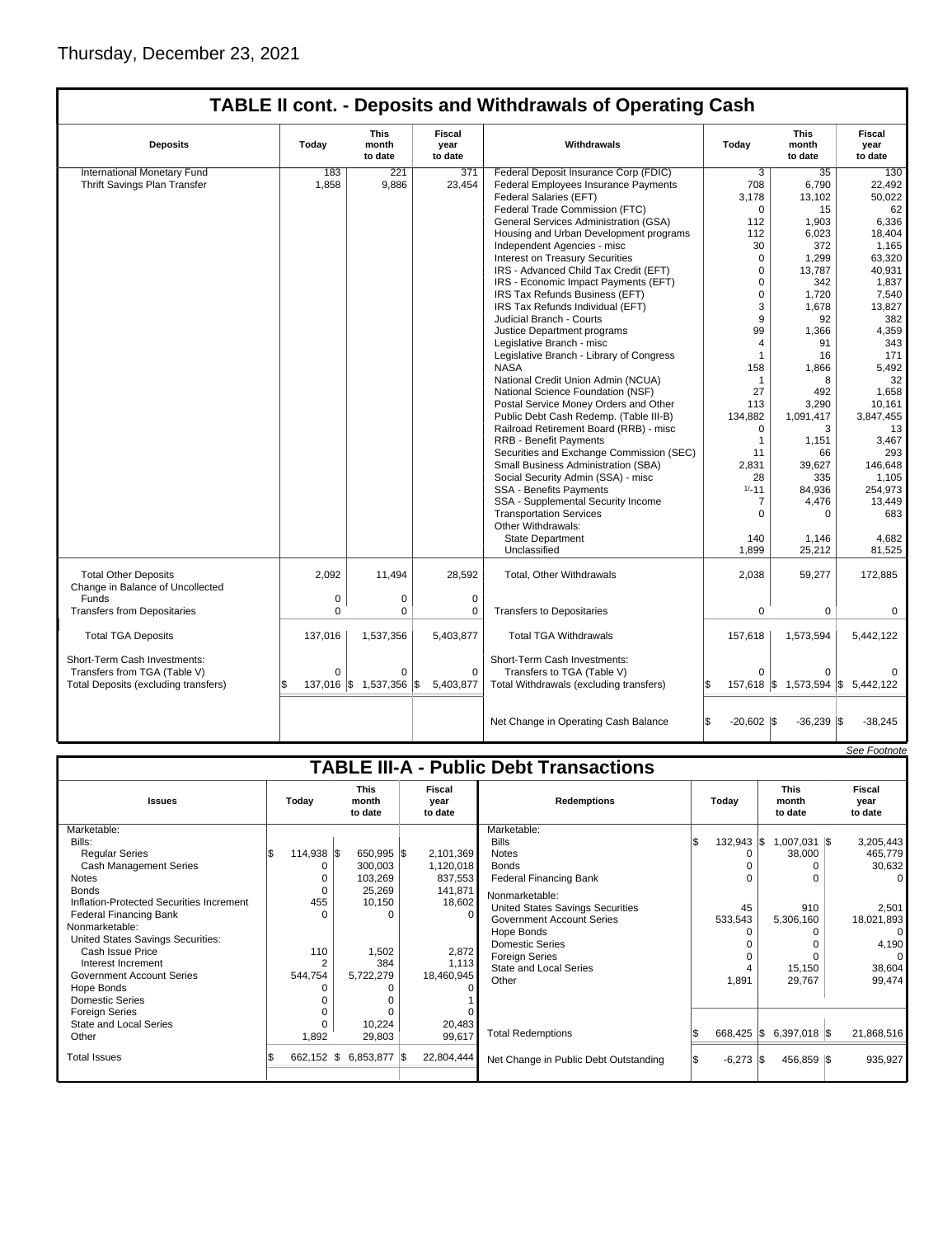# **TABLE II cont. - Deposits and Withdrawals of Operating Cash**

| <b>Deposits</b>                                                 | Todav        | This<br>month<br>to date | Fiscal<br>year<br>to date | Withdrawals                                          | Today        | <b>This</b><br>month<br>to date   | Fiscal<br>vear<br>to date |
|-----------------------------------------------------------------|--------------|--------------------------|---------------------------|------------------------------------------------------|--------------|-----------------------------------|---------------------------|
| International Monetary Fund                                     | 183          | 221                      | 371                       | Federal Deposit Insurance Corp (FDIC)                | 3            | 35                                | 130                       |
| Thrift Savings Plan Transfer                                    | 1,858        | 9,886                    | 23,454                    | Federal Employees Insurance Payments                 | 708          | 6,790                             | 22,492                    |
|                                                                 |              |                          |                           | Federal Salaries (EFT)                               | 3,178        | 13,102                            | 50,022                    |
|                                                                 |              |                          |                           | Federal Trade Commission (FTC)                       | $\mathbf 0$  | 15                                | 62                        |
|                                                                 |              |                          |                           | General Services Administration (GSA)                | 112          | 1,903                             | 6,336                     |
|                                                                 |              |                          |                           | Housing and Urban Development programs               | 112          | 6,023                             | 18,404                    |
|                                                                 |              |                          |                           | Independent Agencies - misc                          | 30           | 372                               | 1,165                     |
|                                                                 |              |                          |                           | Interest on Treasury Securities                      | $\mathbf 0$  | 1,299                             | 63,320                    |
|                                                                 |              |                          |                           | IRS - Advanced Child Tax Credit (EFT)                | $\mathbf 0$  | 13.787                            | 40.931                    |
|                                                                 |              |                          |                           | IRS - Economic Impact Payments (EFT)                 | $\mathbf 0$  | 342                               | 1,837                     |
|                                                                 |              |                          |                           | IRS Tax Refunds Business (EFT)                       | $\mathbf 0$  | 1,720                             | 7,540                     |
|                                                                 |              |                          |                           | IRS Tax Refunds Individual (EFT)                     | 3            | 1,678                             | 13,827                    |
|                                                                 |              |                          |                           | Judicial Branch - Courts                             | 9            | 92                                | 382                       |
|                                                                 |              |                          |                           | Justice Department programs                          | 99           | 1,366                             | 4,359                     |
|                                                                 |              |                          |                           | Legislative Branch - misc                            | 4            | 91                                | 343                       |
|                                                                 |              |                          |                           | Legislative Branch - Library of Congress             | $\mathbf{1}$ | 16                                | 171                       |
|                                                                 |              |                          |                           | <b>NASA</b>                                          | 158          | 1,866                             | 5,492                     |
|                                                                 |              |                          |                           | National Credit Union Admin (NCUA)                   | $\mathbf{1}$ | 8                                 | 32                        |
|                                                                 |              |                          |                           | National Science Foundation (NSF)                    | 27           | 492                               | 1.658                     |
|                                                                 |              |                          |                           | Postal Service Money Orders and Other                | 113          | 3,290                             | 10,161                    |
|                                                                 |              |                          |                           | Public Debt Cash Redemp. (Table III-B)               | 134,882      | 1,091,417                         | 3,847,455                 |
|                                                                 |              |                          |                           | Railroad Retirement Board (RRB) - misc               | 0            | 3                                 | 13                        |
|                                                                 |              |                          |                           | <b>RRB - Benefit Payments</b>                        | $\mathbf{1}$ | 1,151                             | 3,467                     |
|                                                                 |              |                          |                           | Securities and Exchange Commission (SEC)             | 11           | 66                                | 293                       |
|                                                                 |              |                          |                           | Small Business Administration (SBA)                  | 2,831        | 39,627                            | 146,648                   |
|                                                                 |              |                          |                           | Social Security Admin (SSA) - misc                   | 28           | 335                               | 1,105                     |
|                                                                 |              |                          |                           | <b>SSA - Benefits Payments</b>                       | $1/-11$      | 84,936                            | 254,973                   |
|                                                                 |              |                          |                           | SSA - Supplemental Security Income                   | 7            | 4,476                             | 13,449                    |
|                                                                 |              |                          |                           | <b>Transportation Services</b><br>Other Withdrawals: | $\Omega$     | $\Omega$                          | 683                       |
|                                                                 |              |                          |                           | <b>State Department</b>                              | 140          | 1,146                             | 4,682                     |
|                                                                 |              |                          |                           | Unclassified                                         | 1,899        | 25,212                            | 81,525                    |
| <b>Total Other Deposits</b><br>Change in Balance of Uncollected | 2,092        | 11,494                   | 28,592                    | <b>Total, Other Withdrawals</b>                      | 2,038        | 59,277                            | 172,885                   |
| Funds                                                           | 0            | 0                        | $\mathbf 0$               |                                                      |              |                                   |                           |
| <b>Transfers from Depositaries</b>                              | $\Omega$     | 0                        | $\mathbf 0$               | <b>Transfers to Depositaries</b>                     | $\mathbf 0$  | $\mathbf 0$                       | 0                         |
| <b>Total TGA Deposits</b>                                       | 137,016      | 1,537,356                | 5,403,877                 | <b>Total TGA Withdrawals</b>                         | 157,618      | 1,573,594                         | 5,442,122                 |
| Short-Term Cash Investments:                                    |              |                          |                           | Short-Term Cash Investments:                         |              |                                   |                           |
| Transfers from TGA (Table V)                                    | $\mathbf 0$  | 0                        | $\mathbf 0$               | Transfers to TGA (Table V)                           | $\Omega$     | $\Omega$                          | $\Omega$                  |
| Total Deposits (excluding transfers)                            | 137,016<br>S | 1,537,356<br>l\$         | 5,403,877<br>l\$          | Total Withdrawals (excluding transfers)              | l\$          | 157,618 \$ 1,573,594 \$ 5,442,122 |                           |
|                                                                 |              |                          |                           |                                                      |              |                                   |                           |
|                                                                 |              |                          |                           | Net Change in Operating Cash Balance                 | $-20,602$ \$ | $-36,239$ \$                      | $-38,245$                 |

|                                               |              |             |                                 |  |                           |                                         |     |                      |                                 |  | See Footnote              |
|-----------------------------------------------|--------------|-------------|---------------------------------|--|---------------------------|-----------------------------------------|-----|----------------------|---------------------------------|--|---------------------------|
| <b>TABLE III-A - Public Debt Transactions</b> |              |             |                                 |  |                           |                                         |     |                      |                                 |  |                           |
| <b>Issues</b>                                 | Today        |             | <b>This</b><br>month<br>to date |  | Fiscal<br>vear<br>to date | <b>Redemptions</b>                      |     | Todav                | <b>This</b><br>month<br>to date |  | Fiscal<br>vear<br>to date |
| Marketable:                                   |              |             |                                 |  |                           | Marketable:                             |     |                      |                                 |  |                           |
| Bills:                                        |              |             |                                 |  |                           | <b>Bills</b>                            | l\$ | $132,943$ $\sqrt{5}$ | $1,007,031$ \\$                 |  | 3,205,443                 |
| <b>Regular Series</b>                         | 114,938 \$   |             | 650,995 \$                      |  | 2,101,369                 | <b>Notes</b>                            |     | 0                    | 38,000                          |  | 465,779                   |
| <b>Cash Management Series</b>                 |              |             | 300,003                         |  | 1,120,018                 | <b>Bonds</b>                            |     |                      |                                 |  | 30,632                    |
| <b>Notes</b>                                  |              |             | 103,269                         |  | 837,553                   | <b>Federal Financing Bank</b>           |     |                      |                                 |  |                           |
| <b>Bonds</b>                                  |              | $\mathbf 0$ | 25,269                          |  | 141,871                   | Nonmarketable:                          |     |                      |                                 |  |                           |
| Inflation-Protected Securities Increment      | 455          |             | 10,150                          |  | 18,602                    | <b>United States Savings Securities</b> |     | 45                   | 910                             |  | 2,501                     |
| <b>Federal Financing Bank</b>                 |              | $\Omega$    |                                 |  | $\Omega$                  | <b>Government Account Series</b>        |     | 533,543              | 5,306,160                       |  | 18,021,893                |
| Nonmarketable:                                |              |             |                                 |  |                           | Hope Bonds                              |     |                      |                                 |  | 0                         |
| United States Savings Securities:             |              |             |                                 |  |                           | <b>Domestic Series</b>                  |     |                      |                                 |  | 4,190                     |
| Cash Issue Price                              | 110          |             | 1,502                           |  | 2,872                     | <b>Foreign Series</b>                   |     | $\Omega$             |                                 |  |                           |
| Interest Increment                            |              |             | 384                             |  | 1,113                     | <b>State and Local Series</b>           |     |                      | 15,150                          |  | 38,604                    |
| <b>Government Account Series</b>              | 544,754      |             | 5,722,279                       |  | 18,460,945                | Other                                   |     | 1,891                | 29,767                          |  | 99,474                    |
| Hope Bonds                                    |              |             |                                 |  |                           |                                         |     |                      |                                 |  |                           |
| <b>Domestic Series</b>                        |              |             |                                 |  |                           |                                         |     |                      |                                 |  |                           |
| <b>Foreign Series</b>                         |              |             |                                 |  |                           |                                         |     |                      |                                 |  |                           |
| State and Local Series                        |              | n           | 10,224                          |  | 20,483                    |                                         |     |                      |                                 |  |                           |
| Other                                         | 1,892        |             | 29,803                          |  | 99,617                    | <b>Total Redemptions</b>                |     | 668,425 \$           | $6,397,018$ \$                  |  | 21,868,516                |
| <b>Total Issues</b>                           | $662,152$ \$ |             | 6,853,877 \$                    |  | 22,804,444                | Net Change in Public Debt Outstanding   |     | $-6,273$ \$          | 456,859 \$                      |  | 935,927                   |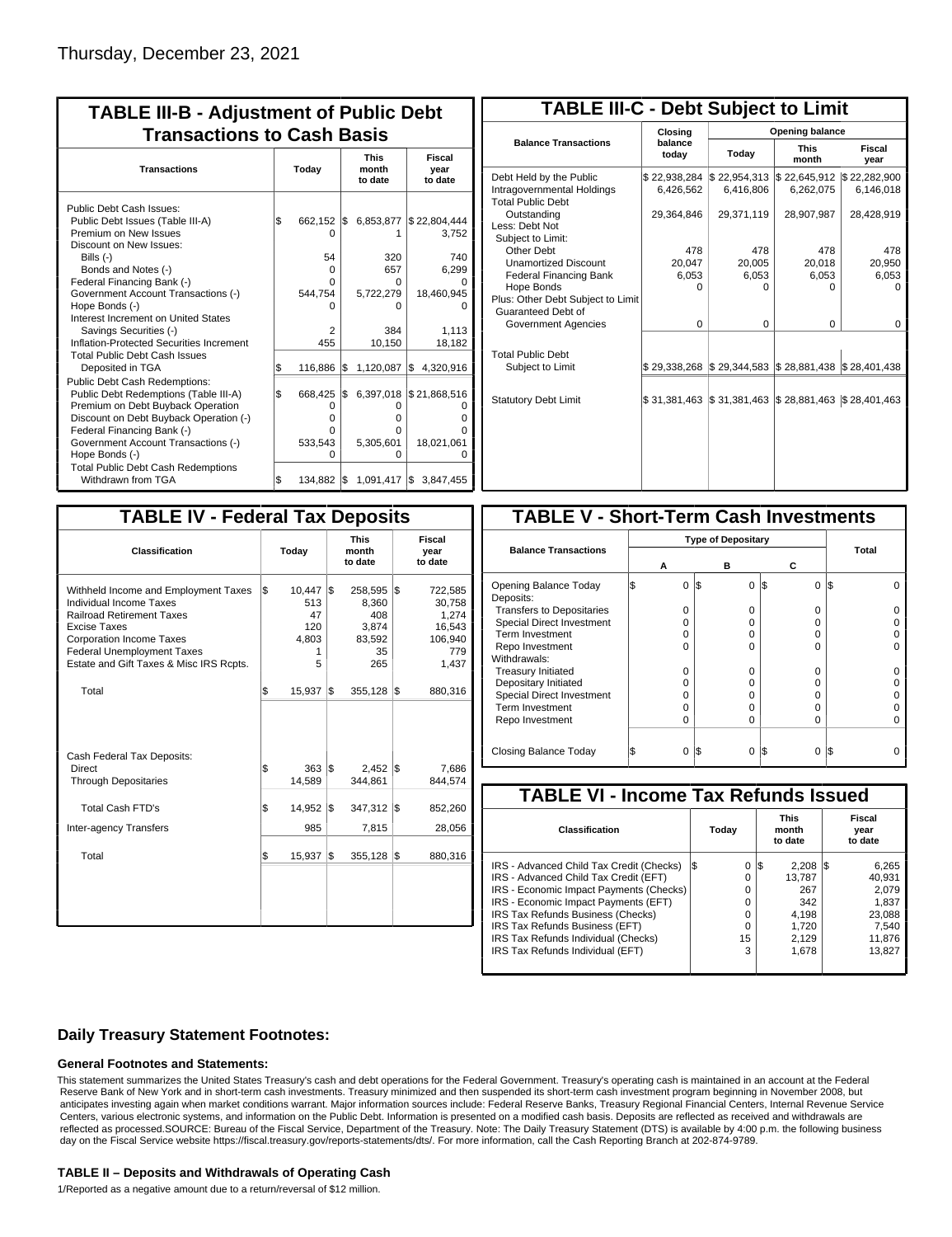| <b>TABLE III-B - Adjustment of Public Debt</b><br><b>Transactions to Cash Basis</b>                                                                                                                                                                                                                                                                                                                |       |                                                        |     |                                                                 |                                                                        |  |  |                                 |                           |
|----------------------------------------------------------------------------------------------------------------------------------------------------------------------------------------------------------------------------------------------------------------------------------------------------------------------------------------------------------------------------------------------------|-------|--------------------------------------------------------|-----|-----------------------------------------------------------------|------------------------------------------------------------------------|--|--|---------------------------------|---------------------------|
| <b>Transactions</b>                                                                                                                                                                                                                                                                                                                                                                                | Today |                                                        |     |                                                                 |                                                                        |  |  | <b>This</b><br>month<br>to date | Fiscal<br>year<br>to date |
| Public Debt Cash Issues:<br>Public Debt Issues (Table III-A)<br>Premium on New Issues<br>Discount on New Issues:<br>Bills $(-)$<br>Bonds and Notes (-)<br>Federal Financing Bank (-)<br>Government Account Transactions (-)<br>Hope Bonds (-)<br>Interest Increment on United States<br>Savings Securities (-)<br>Inflation-Protected Securities Increment<br><b>Total Public Debt Cash Issues</b> | \$    | 662,152 \$<br>n<br>54<br>0<br>U<br>544,754<br>2<br>455 |     | 6,853,877<br>320<br>657<br>0<br>5,722,279<br>n<br>384<br>10,150 | \$22,804,444<br>3,752<br>740<br>6.299<br>18,460,945<br>1,113<br>18,182 |  |  |                                 |                           |
| Deposited in TGA                                                                                                                                                                                                                                                                                                                                                                                   | \$    | 116,886                                                | Ι\$ | 1,120,087                                                       | 4,320,916<br>1\$                                                       |  |  |                                 |                           |
| Public Debt Cash Redemptions:<br>Public Debt Redemptions (Table III-A)<br>Premium on Debt Buyback Operation<br>Discount on Debt Buyback Operation (-)<br>Federal Financing Bank (-)<br>Government Account Transactions (-)<br>Hope Bonds (-)                                                                                                                                                       | l\$   | 668,425<br>0<br>o<br>0<br>533,543<br>ი                 | I\$ | 6,397,018<br>0<br>o<br>o<br>5,305,601<br>0                      | \$21,868,516<br>18,021,061                                             |  |  |                                 |                           |
| <b>Total Public Debt Cash Redemptions</b><br>Withdrawn from TGA                                                                                                                                                                                                                                                                                                                                    | \$    | 134,882 \$                                             |     | 1,091,417 \$                                                    | 3,847,455                                                              |  |  |                                 |                           |

| <b>TABLE III-C - Debt Subject to Limit</b>                                        |                           |                           |                                                   |                           |  |  |  |  |  |  |
|-----------------------------------------------------------------------------------|---------------------------|---------------------------|---------------------------------------------------|---------------------------|--|--|--|--|--|--|
|                                                                                   | Closing                   | Opening balance           |                                                   |                           |  |  |  |  |  |  |
| <b>Balance Transactions</b>                                                       | balance<br>today          | Today                     | <b>This</b><br>month                              | Fiscal<br>year            |  |  |  |  |  |  |
| Debt Held by the Public<br>Intragovernmental Holdings<br><b>Total Public Debt</b> | \$22,938,284<br>6,426,562 | \$22,954,313<br>6,416,806 | \$22,645,912<br>6,262,075                         | \$22,282,900<br>6,146,018 |  |  |  |  |  |  |
| Outstanding<br>Less: Debt Not<br>Subject to Limit:                                | 29,364,846                | 29,371,119                | 28,907,987                                        | 28,428,919                |  |  |  |  |  |  |
| Other Debt                                                                        | 478                       | 478                       | 478                                               | 478                       |  |  |  |  |  |  |
| <b>Unamortized Discount</b>                                                       | 20,047                    | 20,005                    | 20,018                                            | 20,950                    |  |  |  |  |  |  |
| <b>Federal Financing Bank</b>                                                     | 6,053                     | 6,053                     | 6,053                                             | 6,053                     |  |  |  |  |  |  |
| Hope Bonds<br>Plus: Other Debt Subject to Limit<br>Guaranteed Debt of             | $\Omega$                  | O                         | 0                                                 | O                         |  |  |  |  |  |  |
| Government Agencies                                                               | $\Omega$                  | $\Omega$                  | $\Omega$                                          | 0                         |  |  |  |  |  |  |
| <b>Total Public Debt</b><br>Subject to Limit                                      | \$29,338,268              | \$29,344,583              | $\frac{1}{2}$ 28,881,438 $\frac{1}{2}$ 28,401,438 |                           |  |  |  |  |  |  |
| <b>Statutory Debt Limit</b>                                                       | \$31.381.463              | \$31,381,463              | \$28,881,463                                      | \$28,401,463              |  |  |  |  |  |  |
|                                                                                   |                           |                           |                                                   |                           |  |  |  |  |  |  |

| <b>TABLE IV - Federal Tax Deposits</b>                                                                                                                                                                                                        |     |                                               |     |                                                         |     |                                                                 |
|-----------------------------------------------------------------------------------------------------------------------------------------------------------------------------------------------------------------------------------------------|-----|-----------------------------------------------|-----|---------------------------------------------------------|-----|-----------------------------------------------------------------|
| Classification                                                                                                                                                                                                                                |     | Today                                         |     | <b>This</b><br>month<br>to date                         |     | Fiscal<br>year<br>to date                                       |
| Withheld Income and Employment Taxes<br>Individual Income Taxes<br><b>Railroad Retirement Taxes</b><br><b>Excise Taxes</b><br><b>Corporation Income Taxes</b><br><b>Federal Unemployment Taxes</b><br>Estate and Gift Taxes & Misc IRS Rcpts. | l\$ | 10,447<br>513<br>47<br>120<br>4,803<br>1<br>5 | l\$ | 258,595<br>8,360<br>408<br>3.874<br>83,592<br>35<br>265 | l\$ | 722,585<br>30.758<br>1,274<br>16,543<br>106,940<br>779<br>1,437 |
| Total                                                                                                                                                                                                                                         | l\$ | 15,937                                        | l\$ | $355,128$ \$                                            |     | 880,316                                                         |
| Cash Federal Tax Deposits:<br>Direct<br><b>Through Depositaries</b>                                                                                                                                                                           | \$  | $363$ $\overline{\text{S}}$<br>14,589         |     | 2,452<br>344.861                                        | 1\$ | 7,686<br>844.574                                                |
| <b>Total Cash FTD's</b><br>Inter-agency Transfers                                                                                                                                                                                             | Ŝ.  | 14,952<br>985                                 | l\$ | 347,312<br>7,815                                        | l\$ | 852,260<br>28,056                                               |
| Total                                                                                                                                                                                                                                         | \$  | 15,937                                        | 1\$ | 355,128                                                 | l\$ | 880,316                                                         |
|                                                                                                                                                                                                                                               |     |                                               |     |                                                         |     |                                                                 |

| <b>TABLE V - Short-Term Cash Investments</b> |   |                           |          |                 |       |  |  |  |  |  |
|----------------------------------------------|---|---------------------------|----------|-----------------|-------|--|--|--|--|--|
|                                              |   | <b>Type of Depositary</b> |          |                 |       |  |  |  |  |  |
| <b>Balance Transactions</b>                  |   |                           |          |                 | Total |  |  |  |  |  |
|                                              | А |                           | в        | С               |       |  |  |  |  |  |
| Opening Balance Today<br>Deposits:           | 0 | I\$                       | 0        | 1\$<br>$\Omega$ | l\$   |  |  |  |  |  |
| <b>Transfers to Depositaries</b>             | O |                           | $\Omega$ | 0               |       |  |  |  |  |  |
| <b>Special Direct Investment</b>             | O |                           | O        | 0               |       |  |  |  |  |  |
| Term Investment                              | O |                           | 0        | 0               |       |  |  |  |  |  |
| Repo Investment                              | U |                           | U        | U               |       |  |  |  |  |  |
| Withdrawals:                                 |   |                           |          |                 |       |  |  |  |  |  |
| <b>Treasury Initiated</b>                    | O |                           | 0        | 0               |       |  |  |  |  |  |
| Depositary Initiated                         | O |                           | O        | 0               |       |  |  |  |  |  |
| <b>Special Direct Investment</b>             | Ω |                           | n        | U               |       |  |  |  |  |  |
| <b>Term Investment</b>                       | Ω |                           | O        | $\Omega$        |       |  |  |  |  |  |
| Repo Investment                              | 0 |                           | 0        | 0               |       |  |  |  |  |  |
|                                              |   |                           |          |                 |       |  |  |  |  |  |
| Closing Balance Today                        | 0 | 1\$                       | 0        | 13<br>0         | 1\$   |  |  |  |  |  |

| <b>TABLE VI - Income Tax Refunds Issued</b> |     |       |     |                                 |     |                           |  |  |  |  |
|---------------------------------------------|-----|-------|-----|---------------------------------|-----|---------------------------|--|--|--|--|
| Classification                              |     | Today |     | <b>This</b><br>month<br>to date |     | Fiscal<br>year<br>to date |  |  |  |  |
| IRS - Advanced Child Tax Credit (Checks)    | l\$ | 0     | 1\$ | 2,208                           | 135 | 6,265                     |  |  |  |  |
| IRS - Advanced Child Tax Credit (EFT)       |     | 0     |     | 13.787                          |     | 40.931                    |  |  |  |  |
| IRS - Economic Impact Payments (Checks)     |     | 0     |     | 267                             |     | 2.079                     |  |  |  |  |
| IRS - Economic Impact Payments (EFT)        |     | 0     |     | 342                             |     | 1,837                     |  |  |  |  |
| IRS Tax Refunds Business (Checks)           |     | 0     |     | 4.198                           |     | 23,088                    |  |  |  |  |
| IRS Tax Refunds Business (EFT)              |     | 0     |     | 1.720                           |     | 7,540                     |  |  |  |  |
| IRS Tax Refunds Individual (Checks)         |     | 15    |     | 2.129                           |     | 11,876                    |  |  |  |  |
| IRS Tax Refunds Individual (EFT)            |     | 3     |     | 1,678                           |     | 13.827                    |  |  |  |  |
|                                             |     |       |     |                                 |     |                           |  |  |  |  |

### **Daily Treasury Statement Footnotes:**

#### **General Footnotes and Statements:**

This statement summarizes the United States Treasury's cash and debt operations for the Federal Government. Treasury's operating cash is maintained in an account at the Federal Reserve Bank of New York and in short-term cash investments. Treasury minimized and then suspended its short-term cash investment program beginning in November 2008, but anticipates investing again when market conditions warrant. Major information sources include: Federal Reserve Banks, Treasury Regional Financial Centers, Internal Revenue Service Centers, various electronic systems, and information on the Public Debt. Information is presented on a modified cash basis. Deposits are reflected as received and withdrawals are reflected as processed.SOURCE: Bureau of the Fiscal Service, Department of the Treasury. Note: The Daily Treasury Statement (DTS) is available by 4:00 p.m. the following business day on the Fiscal Service website https://fiscal.treasury.gov/reports-statements/dts/. For more information, call the Cash Reporting Branch at 202-874-9789.

#### **TABLE II – Deposits and Withdrawals of Operating Cash**

1/Reported as a negative amount due to a return/reversal of \$12 million.